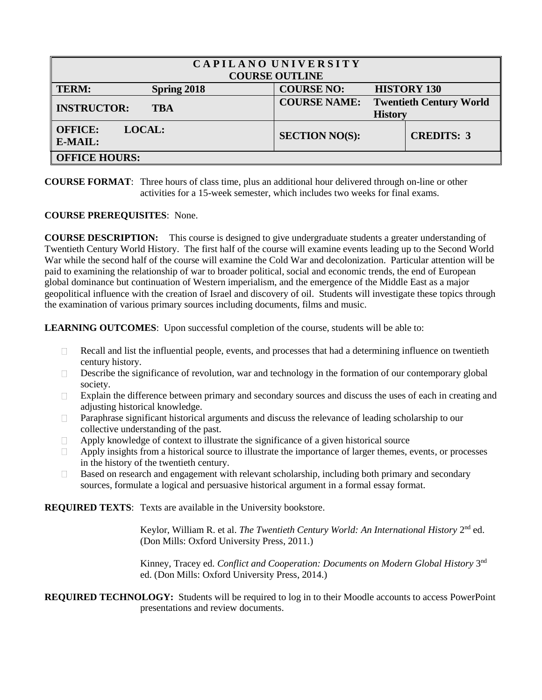| CAPILANO UNIVERSITY<br><b>COURSE OUTLINE</b> |                                       |                                |  |
|----------------------------------------------|---------------------------------------|--------------------------------|--|
| <b>TERM:</b><br>Spring 2018                  | <b>COURSE NO:</b>                     | <b>HISTORY 130</b>             |  |
| <b>INSTRUCTOR:</b><br><b>TBA</b>             | <b>COURSE NAME:</b><br><b>History</b> | <b>Twentieth Century World</b> |  |
| <b>OFFICE:</b><br><b>LOCAL:</b><br>E-MAIL:   | <b>SECTION NO(S):</b>                 | <b>CREDITS: 3</b>              |  |
| <b>OFFICE HOURS:</b>                         |                                       |                                |  |

## **COURSE FORMAT**: Three hours of class time, plus an additional hour delivered through on-line or other activities for a 15-week semester, which includes two weeks for final exams.

## **COURSE PREREQUISITES**: None.

**COURSE DESCRIPTION:** This course is designed to give undergraduate students a greater understanding of Twentieth Century World History. The first half of the course will examine events leading up to the Second World War while the second half of the course will examine the Cold War and decolonization. Particular attention will be paid to examining the relationship of war to broader political, social and economic trends, the end of European global dominance but continuation of Western imperialism, and the emergence of the Middle East as a major geopolitical influence with the creation of Israel and discovery of oil. Students will investigate these topics through the examination of various primary sources including documents, films and music.

**LEARNING OUTCOMES**: Upon successful completion of the course, students will be able to:

- Recall and list the influential people, events, and processes that had a determining influence on twentieth  $\Box$ century history.
- $\Box$ Describe the significance of revolution, war and technology in the formation of our contemporary global society.
- $\Box$ Explain the difference between primary and secondary sources and discuss the uses of each in creating and adjusting historical knowledge.
- Paraphrase significant historical arguments and discuss the relevance of leading scholarship to our  $\Box$ collective understanding of the past.
- Apply knowledge of context to illustrate the significance of a given historical source  $\Box$
- $\Box$ Apply insights from a historical source to illustrate the importance of larger themes, events, or processes in the history of the twentieth century.
- Based on research and engagement with relevant scholarship, including both primary and secondary  $\Box$ sources, formulate a logical and persuasive historical argument in a formal essay format.

**REQUIRED TEXTS**: Texts are available in the University bookstore.

Keylor, William R. et al. *The Twentieth Century World: An International History* 2<sup>nd</sup> ed. (Don Mills: Oxford University Press, 2011.)

Kinney, Tracey ed. Conflict and Cooperation: Documents on Modern Global History 3<sup>nd</sup> ed. (Don Mills: Oxford University Press, 2014.)

**REQUIRED TECHNOLOGY:** Students will be required to log in to their Moodle accounts to access PowerPoint presentations and review documents.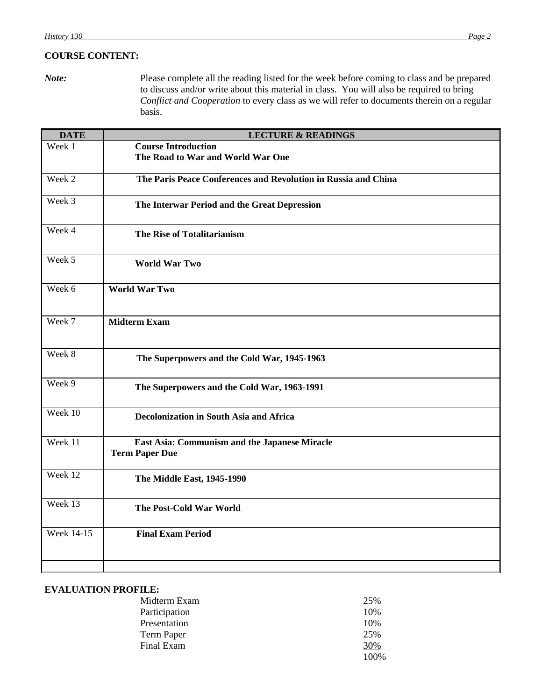# **COURSE CONTENT:**

*Note:* Please complete all the reading listed for the week before coming to class and be prepared to discuss and/or write about this material in class. You will also be required to bring *Conflict and Cooperation* to every class as we will refer to documents therein on a regular basis.

| <b>DATE</b>       | <b>LECTURE &amp; READINGS</b>                                          |
|-------------------|------------------------------------------------------------------------|
| Week 1            | <b>Course Introduction</b><br>The Road to War and World War One        |
| Week 2            | The Paris Peace Conferences and Revolution in Russia and China         |
| Week 3            | The Interwar Period and the Great Depression                           |
| Week 4            | The Rise of Totalitarianism                                            |
| Week 5            | <b>World War Two</b>                                                   |
| Week 6            | <b>World War Two</b>                                                   |
| Week 7            | <b>Midterm Exam</b>                                                    |
| Week 8            | The Superpowers and the Cold War, 1945-1963                            |
| Week 9            | The Superpowers and the Cold War, 1963-1991                            |
| Week 10           | <b>Decolonization in South Asia and Africa</b>                         |
| Week 11           | East Asia: Communism and the Japanese Miracle<br><b>Term Paper Due</b> |
| Week 12           | The Middle East, 1945-1990                                             |
| Week 13           | <b>The Post-Cold War World</b>                                         |
| <b>Week 14-15</b> | <b>Final Exam Period</b>                                               |
|                   |                                                                        |

## **EVALUATION PROFILE:**

| Midterm Exam  | 25%  |
|---------------|------|
| Participation | 10%  |
| Presentation  | 10%  |
| Term Paper    | 25%  |
| Final Exam    | 30%  |
|               | 100% |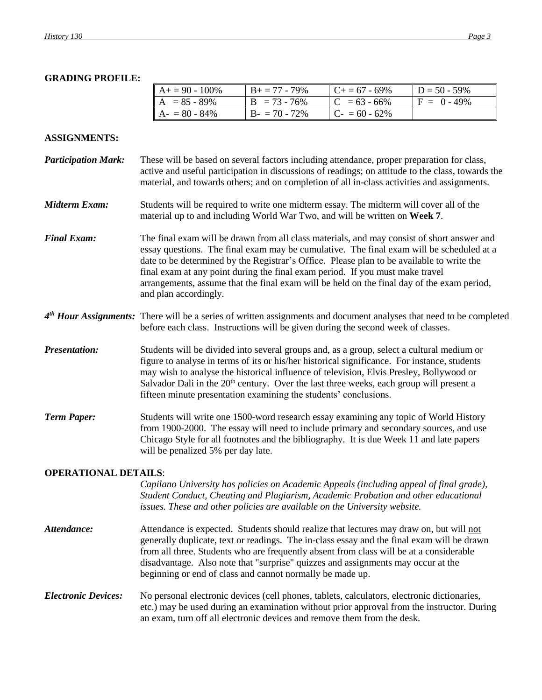## **GRADING PROFILE:**

| $A+=90-100\%$   | $B_+ = 77 - 79\%$ | $C_{+} = 67 - 69\%$ | $D = 50 - 59\%$ |
|-----------------|-------------------|---------------------|-----------------|
| $A = 85 - 89\%$ | $B = 73 - 76\%$   | $C = 63 - 66\%$     | $F = 0 - 49\%$  |
| $A - 80 - 84\%$ | $B - 70 - 72\%$   | $C - 60 - 62\%$     |                 |

### **ASSIGNMENTS:**

- *Participation Mark:* These will be based on several factors including attendance, proper preparation for class, active and useful participation in discussions of readings; on attitude to the class, towards the material, and towards others; and on completion of all in-class activities and assignments.
- *Midterm Exam:* Students will be required to write one midterm essay. The midterm will cover all of the material up to and including World War Two, and will be written on **Week 7**.
- *Final Exam:* The final exam will be drawn from all class materials, and may consist of short answer and essay questions. The final exam may be cumulative. The final exam will be scheduled at a date to be determined by the Registrar's Office. Please plan to be available to write the final exam at any point during the final exam period. If you must make travel arrangements, assume that the final exam will be held on the final day of the exam period, and plan accordingly.
- 4<sup>th</sup> *Hour Assignments:* There will be a series of written assignments and document analyses that need to be completed before each class. Instructions will be given during the second week of classes.
- *Presentation:* Students will be divided into several groups and, as a group, select a cultural medium or figure to analyse in terms of its or his/her historical significance. For instance, students may wish to analyse the historical influence of television, Elvis Presley, Bollywood or Salvador Dali in the  $20<sup>th</sup>$  century. Over the last three weeks, each group will present a fifteen minute presentation examining the students' conclusions.
- *Term Paper:* Students will write one 1500-word research essay examining any topic of World History from 1900-2000. The essay will need to include primary and secondary sources, and use Chicago Style for all footnotes and the bibliography. It is due Week 11 and late papers will be penalized 5% per day late.

### **OPERATIONAL DETAILS**:

*Capilano University has policies on Academic Appeals (including appeal of final grade), Student Conduct, Cheating and Plagiarism, Academic Probation and other educational issues. These and other policies are available on the University website.*

- *Attendance:* Attendance is expected. Students should realize that lectures may draw on, but will not generally duplicate, text or readings. The in-class essay and the final exam will be drawn from all three. Students who are frequently absent from class will be at a considerable disadvantage. Also note that "surprise" quizzes and assignments may occur at the beginning or end of class and cannot normally be made up.
- *Electronic Devices:* No personal electronic devices (cell phones, tablets, calculators, electronic dictionaries, etc.) may be used during an examination without prior approval from the instructor. During an exam, turn off all electronic devices and remove them from the desk.